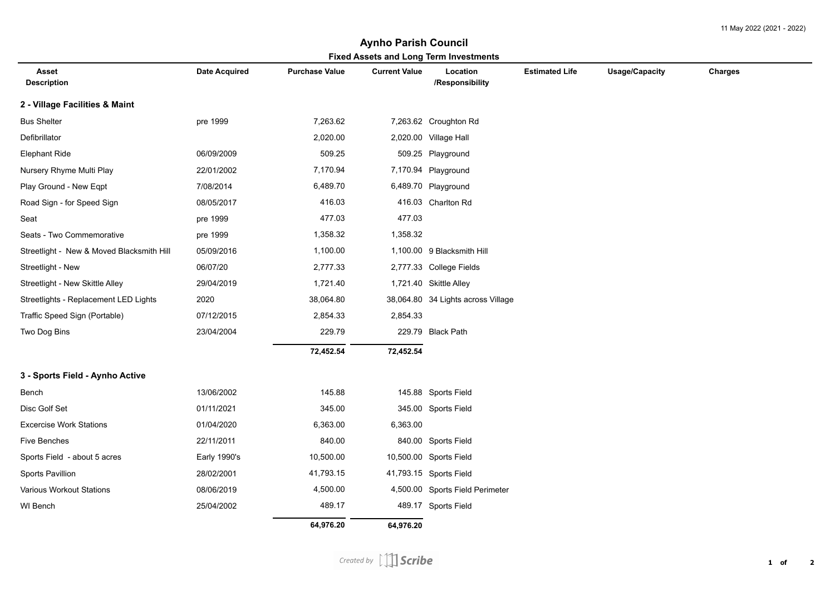## **Asset Description Date Acquired Purchase Value Current Value Location /Responsibility Estimated Life Usage/Capacity Charges Fixed Assets and Long Term Investments Aynho Parish Council 2 - Village Facilities & Maint** Bus Shelter pre 1999 7,263.62 7,263.62 Croughton Rd Defibrillator 2,020.00 2,020.00 Village Hall Elephant Ride 06/09/2009 509.25 509.25 Playground Nursery Rhyme Multi Play 22/01/2002 7,170.94 7,170.94 Playground Play Ground - New Eqpt 7/08/2014 6,489.70 6,489.70 Playground Road Sign - for Speed Sign 08/05/2017 416.03 416.03 Charlton Rd Seat pre 1999 477.03 477.03 Seats - Two Commemorative **pre 1999** 1,358.32 1,358.32 Streetlight - New & Moved Blacksmith Hill  $05/09/2016$  1,100.00 1,100.00 9 Blacksmith Hill Streetlight - New 06/07/20 2,777.33 2,777.33 College Fields Streetlight - New Skittle Alley 29/04/2019 1,721.40 1,721.40 1,721.40 Skittle Alley Streetlights - Replacement LED Lights 2020 38,064.80 38,064.80 34 Lights across Village Traffic Speed Sign (Portable) 07/12/2015 2,854.33 2,854.33 Two Dog Bins 23/04/2004 229.79 229.79 Black Path  **72,452.54 72,452.54 3 - Sports Field - Aynho Active** Bench 13/06/2002 145.88 145.88 Sports Field Disc Golf Set 01/11/2021 345.00 345.00 Sports Field Excercise Work Stations 01/04/2020 6,363.00 6,363.00 Five Benches 22/11/2011 840.00 840.00 Sports Field Sports Field - about 5 acres Early 1990's 10,500.00 10,500.00 Sports Field Sports Pavillion 28/02/2001 41,793.15 41,793.15 Sports Field Various Workout Stations 08/06/2019 4,500.00 4,500.00 Sports Field Perimeter WI Bench 25/04/2002 489.17 489.17 Sports Field  **64,976.20 64,976.20**